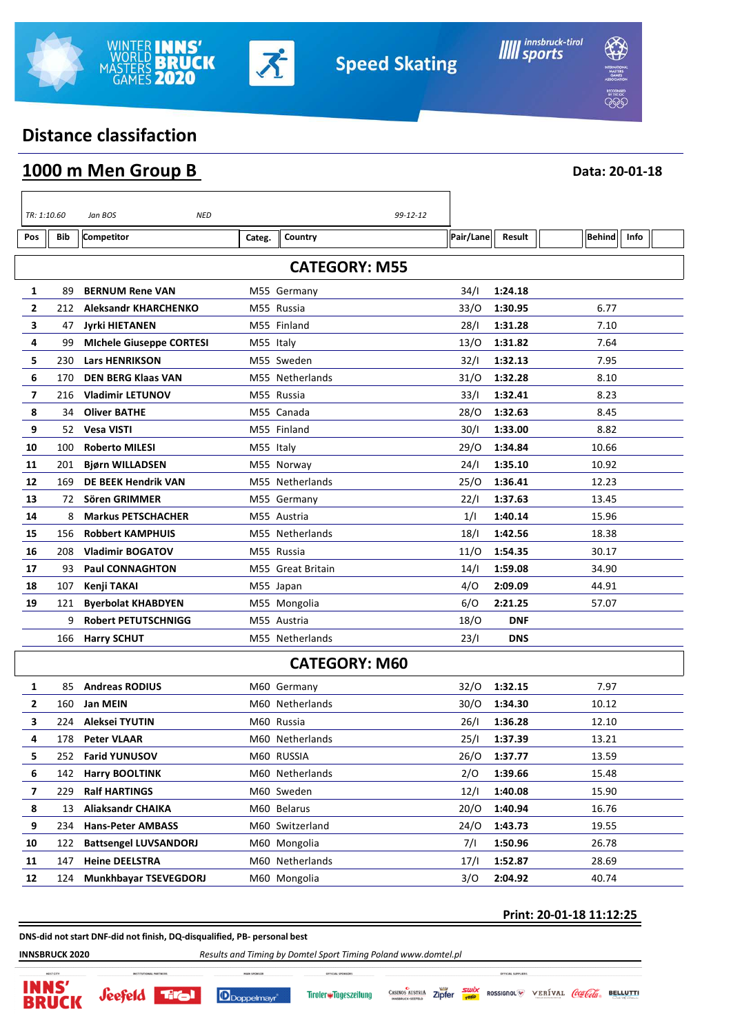

ן



**Data: 20-01-18**

# **Distance classifaction**

|  | 1000 m Men Group B |  |
|--|--------------------|--|
|  |                    |  |

 $\overline{\phantom{a}}$ 

|                      | TR: 1:10.60 | Jan BOS<br>NED                  |           | 99-12-12          |           |            |               |      |  |  |
|----------------------|-------------|---------------------------------|-----------|-------------------|-----------|------------|---------------|------|--|--|
| Pos                  | Bib         | <b>Competitor</b>               | Categ.    | Country           | Pair/Lane | Result     | <b>Behind</b> | Info |  |  |
| <b>CATEGORY: M55</b> |             |                                 |           |                   |           |            |               |      |  |  |
| 1                    | 89          | <b>BERNUM Rene VAN</b>          |           | M55 Germany       | 34/I      | 1:24.18    |               |      |  |  |
| 2                    | 212         | <b>Aleksandr KHARCHENKO</b>     |           | M55 Russia        | 33/O      | 1:30.95    | 6.77          |      |  |  |
| 3                    | 47          | <b>Jyrki HIETANEN</b>           |           | M55 Finland       | 28/1      | 1:31.28    | 7.10          |      |  |  |
| 4                    | 99          | <b>Michele Giuseppe CORTESI</b> | M55 Italy |                   | 13/0      | 1:31.82    | 7.64          |      |  |  |
| 5                    | 230         | <b>Lars HENRIKSON</b>           |           | M55 Sweden        | 32/1      | 1:32.13    | 7.95          |      |  |  |
| 6                    | 170         | <b>DEN BERG Klaas VAN</b>       |           | M55 Netherlands   | 31/0      | 1:32.28    | 8.10          |      |  |  |
| 7                    | 216         | <b>Vladimir LETUNOV</b>         |           | M55 Russia        | 33/1      | 1:32.41    | 8.23          |      |  |  |
| 8                    | 34          | <b>Oliver BATHE</b>             |           | M55 Canada        | 28/0      | 1:32.63    | 8.45          |      |  |  |
| 9                    | 52          | <b>Vesa VISTI</b>               |           | M55 Finland       | 30/1      | 1:33.00    | 8.82          |      |  |  |
| 10                   | 100         | <b>Roberto MILESI</b>           | M55 Italy |                   | 29/0      | 1:34.84    | 10.66         |      |  |  |
| 11                   | 201         | <b>Bjørn WILLADSEN</b>          |           | M55 Norway        | 24/I      | 1:35.10    | 10.92         |      |  |  |
| 12                   | 169         | <b>DE BEEK Hendrik VAN</b>      |           | M55 Netherlands   | 25/0      | 1:36.41    | 12.23         |      |  |  |
| 13                   | 72          | Sören GRIMMER                   |           | M55 Germany       | 22/1      | 1:37.63    | 13.45         |      |  |  |
| 14                   | 8           | <b>Markus PETSCHACHER</b>       |           | M55 Austria       | 1/1       | 1:40.14    | 15.96         |      |  |  |
| 15                   | 156         | <b>Robbert KAMPHUIS</b>         |           | M55 Netherlands   | 18/1      | 1:42.56    | 18.38         |      |  |  |
| 16                   | 208         | <b>Vladimir BOGATOV</b>         |           | M55 Russia        | 11/0      | 1:54.35    | 30.17         |      |  |  |
| 17                   | 93          | <b>Paul CONNAGHTON</b>          |           | M55 Great Britain | 14/1      | 1:59.08    | 34.90         |      |  |  |
| 18                   | 107         | Kenji TAKAI                     |           | M55 Japan         | 4/0       | 2:09.09    | 44.91         |      |  |  |
| 19                   | 121         | <b>Byerbolat KHABDYEN</b>       |           | M55 Mongolia      | 6/O       | 2:21.25    | 57.07         |      |  |  |
|                      | 9           | <b>Robert PETUTSCHNIGG</b>      |           | M55 Austria       | 18/O      | <b>DNF</b> |               |      |  |  |
|                      | 166         | <b>Harry SCHUT</b>              |           | M55 Netherlands   | 23/1      | <b>DNS</b> |               |      |  |  |
| <b>CATEGORY: M60</b> |             |                                 |           |                   |           |            |               |      |  |  |
| 1                    | 85          | <b>Andreas RODIUS</b>           |           | M60 Germany       | 32/0      | 1:32.15    | 7.97          |      |  |  |
| 2                    | 160         | <b>Jan MEIN</b>                 |           | M60 Netherlands   | 30/O      | 1:34.30    | 10.12         |      |  |  |
| 3                    | 224         | Aleksei TYUTIN                  |           | M60 Russia        | 26/I      | 1:36.28    | 12.10         |      |  |  |
| 4                    | 178         | <b>Peter VLAAR</b>              |           | M60 Netherlands   | 25/I      | 1:37.39    | 13.21         |      |  |  |
| 5                    |             | 252 Farid YUNUSOV               |           | M60 RUSSIA        | 26/0      | 1:37.77    | 13.59         |      |  |  |
| 6                    | 142         | <b>Harry BOOLTINK</b>           |           | M60 Netherlands   | 2/O       | 1:39.66    | 15.48         |      |  |  |
| 7                    | 229         | <b>Ralf HARTINGS</b>            |           | M60 Sweden        | 12/1      | 1:40.08    | 15.90         |      |  |  |
| 8                    | 13          | <b>Aliaksandr CHAIKA</b>        |           | M60 Belarus       | 20/O      | 1:40.94    | 16.76         |      |  |  |
| 9                    | 234         | <b>Hans-Peter AMBASS</b>        |           | M60 Switzerland   | 24/O      | 1:43.73    | 19.55         |      |  |  |
| 10                   | 122         | <b>Battsengel LUVSANDORJ</b>    |           | M60 Mongolia      | 7/1       | 1:50.96    | 26.78         |      |  |  |
| 11                   | 147         | <b>Heine DEELSTRA</b>           |           | M60 Netherlands   | 17/1      | 1:52.87    | 28.69         |      |  |  |
| 12                   | 124         | Munkhbayar TSEVEGDORJ           |           | M60 Mongolia      | 3/0       | 2:04.92    | 40.74         |      |  |  |
|                      |             |                                 |           |                   |           |            |               |      |  |  |

#### **Print: 20-01-18 11:12:25**

**DNS-did not start DNF-did not finish, DQ-disqualified, PB- personal best**

**INNSBRUCK 2020** *Results and Timing by Domtel Sport Timing Poland www.domtel.pl*







ROSSIGNOL VERÍVAL COLOGIA BELLUTTI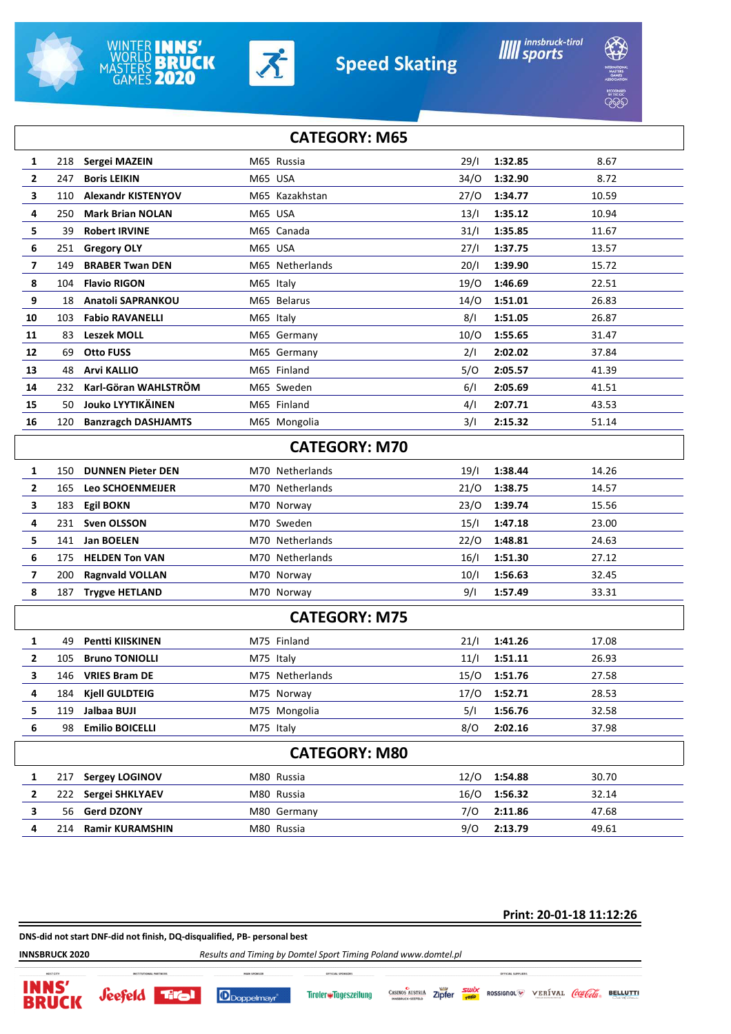





**Speed Skating** 



**BRACK** 

|                      | <b>CATEGORY: M65</b> |     |                            |           |                      |      |         |       |
|----------------------|----------------------|-----|----------------------------|-----------|----------------------|------|---------|-------|
|                      | 1                    | 218 | Sergei MAZEIN              |           | M65 Russia           | 29/1 | 1:32.85 | 8.67  |
|                      | $\overline{2}$       | 247 | <b>Boris LEIKIN</b>        | M65 USA   |                      | 34/O | 1:32.90 | 8.72  |
|                      | 3                    | 110 | <b>Alexandr KISTENYOV</b>  |           | M65 Kazakhstan       | 27/0 | 1:34.77 | 10.59 |
|                      | 4                    | 250 | <b>Mark Brian NOLAN</b>    | M65 USA   |                      | 13/1 | 1:35.12 | 10.94 |
|                      | 5                    | 39  | <b>Robert IRVINE</b>       |           | M65 Canada           | 31/1 | 1:35.85 | 11.67 |
|                      | 6                    | 251 | <b>Gregory OLY</b>         | M65 USA   |                      | 27/1 | 1:37.75 | 13.57 |
|                      | 7                    | 149 | <b>BRABER Twan DEN</b>     |           | M65 Netherlands      | 20/1 | 1:39.90 | 15.72 |
|                      | 8                    | 104 | <b>Flavio RIGON</b>        | M65 Italy |                      | 19/O | 1:46.69 | 22.51 |
|                      | 9                    | 18  | Anatoli SAPRANKOU          |           | M65 Belarus          | 14/0 | 1:51.01 | 26.83 |
|                      | 10                   | 103 | <b>Fabio RAVANELLI</b>     | M65 Italy |                      | 8/1  | 1:51.05 | 26.87 |
|                      | 11                   | 83  | <b>Leszek MOLL</b>         |           | M65 Germany          | 10/O | 1:55.65 | 31.47 |
|                      | 12                   | 69  | <b>Otto FUSS</b>           |           | M65 Germany          | 2/1  | 2:02.02 | 37.84 |
|                      | 13                   | 48  | <b>Arvi KALLIO</b>         |           | M65 Finland          | 5/0  | 2:05.57 | 41.39 |
|                      | 14                   | 232 | Karl-Göran WAHLSTRÖM       |           | M65 Sweden           | 6/1  | 2:05.69 | 41.51 |
|                      | 15                   | 50  | <b>Jouko LYYTIKÄINEN</b>   |           | M65 Finland          | 4/1  | 2:07.71 | 43.53 |
|                      | 16                   | 120 | <b>Banzragch DASHJAMTS</b> |           | M65 Mongolia         | 3/I  | 2:15.32 | 51.14 |
|                      |                      |     |                            |           | <b>CATEGORY: M70</b> |      |         |       |
|                      | 1                    | 150 | <b>DUNNEN Pieter DEN</b>   |           | M70 Netherlands      | 19/1 | 1:38.44 | 14.26 |
|                      | $\mathbf{2}$         | 165 | Leo SCHOENMEIJER           |           | M70 Netherlands      | 21/0 | 1:38.75 | 14.57 |
|                      | 3                    | 183 | <b>Egil BOKN</b>           |           | M70 Norway           | 23/0 | 1:39.74 | 15.56 |
|                      | 4                    | 231 | <b>Sven OLSSON</b>         |           | M70 Sweden           | 15/1 | 1:47.18 | 23.00 |
|                      | 5                    | 141 | Jan BOELEN                 |           | M70 Netherlands      | 22/0 | 1:48.81 | 24.63 |
|                      | 6                    | 175 | <b>HELDEN Ton VAN</b>      |           | M70 Netherlands      | 16/1 | 1:51.30 | 27.12 |
|                      | 7                    | 200 | <b>Ragnvald VOLLAN</b>     |           | M70 Norway           | 10/1 | 1:56.63 | 32.45 |
|                      | 8                    | 187 | <b>Trygve HETLAND</b>      |           | M70 Norway           | 9/1  | 1:57.49 | 33.31 |
| <b>CATEGORY: M75</b> |                      |     |                            |           |                      |      |         |       |
|                      | 1                    | 49  | <b>Pentti KIISKINEN</b>    |           | M75 Finland          | 21/1 | 1:41.26 | 17.08 |
|                      | 2                    | 105 | <b>Bruno TONIOLLI</b>      | M75 Italy |                      | 11/1 | 1:51.11 | 26.93 |
|                      | 3                    | 146 | <b>VRIES Bram DE</b>       |           | M75 Netherlands      | 15/O | 1:51.76 | 27.58 |
|                      | 4                    | 184 | <b>Kjell GULDTEIG</b>      |           | M75 Norway           | 17/0 | 1:52.71 | 28.53 |
|                      | 5                    | 119 | Jalbaa BUJI                |           | M75 Mongolia         | 5/1  | 1:56.76 | 32.58 |
|                      | 6                    | 98  | <b>Emilio BOICELLI</b>     | M75 Italy |                      | 8/O  | 2:02.16 | 37.98 |
| <b>CATEGORY: M80</b> |                      |     |                            |           |                      |      |         |       |
|                      | 1                    | 217 | <b>Sergey LOGINOV</b>      |           | M80 Russia           | 12/0 | 1:54.88 | 30.70 |
|                      | 2                    | 222 | Sergei SHKLYAEV            |           | M80 Russia           | 16/O | 1:56.32 | 32.14 |
|                      | 3                    | 56  | <b>Gerd DZONY</b>          |           | M80 Germany          | 7/0  | 2:11.86 | 47.68 |
|                      | 4                    | 214 | <b>Ramir KURAMSHIN</b>     |           | M80 Russia           | 9/0  | 2:13.79 | 49.61 |
|                      |                      |     |                            |           |                      |      |         |       |

#### **Print: 20-01-18 11:12:26**

**DNS-did not start DNF-did not finish, DQ-disqualified, PB- personal best**

**INNSBRUCK 2020** *Results and Timing by Domtel Sport Timing Poland www.domtel.pl*

**INNS'** 

**BRUCK** 

**Seefeld** 



CASINOS AUSTRIA Zipfer Tiroler#Tageszeitung

ROSSIGNOL<sup>W</sup> VERIVAL *Coalde* BELLUTTI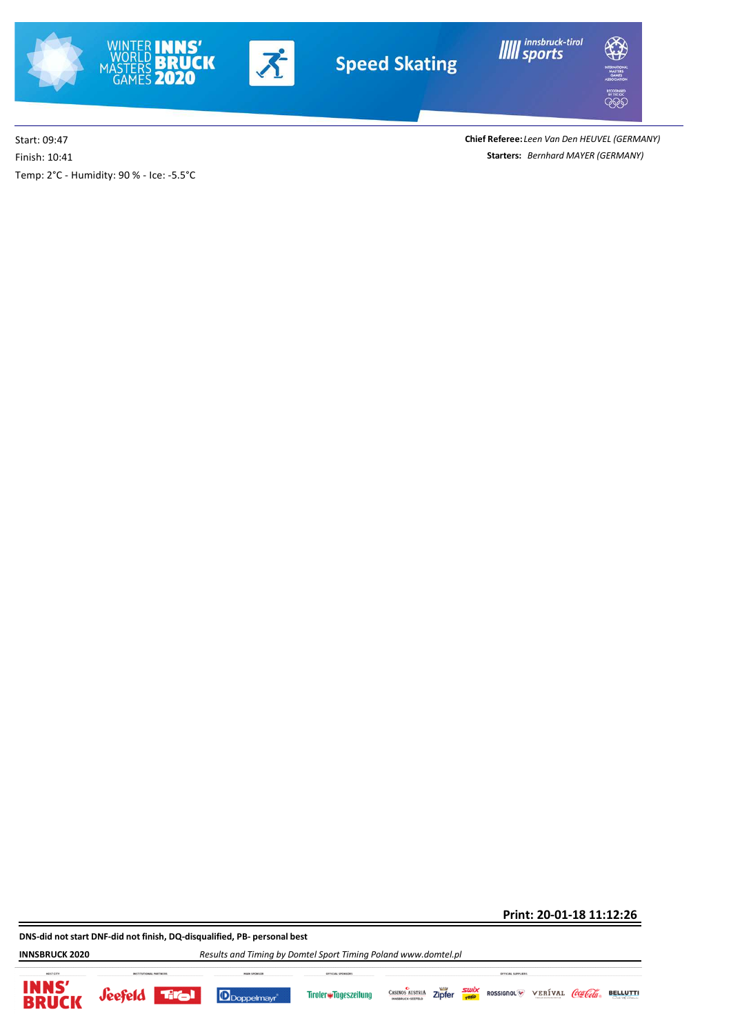



**IIIII** innsbruck-tirol



Start: 09:47 Temp: 2°C - Humidity: 90 % - Ice: -5.5°C Finish: 10:41

**Starters:** *Bernhard MAYER (GERMANY)* **Chief Referee:** *Leen Van Den HEUVEL (GERMANY)*

**Print: 20-01-18 11:12:26**

**DNS-did not start DNF-did not finish, DQ-disqualified, PB- personal best**

**INNSBRUCK 2020** *Results and Timing by Domtel Sport Timing Poland www.domtel.pl*









Zipfer